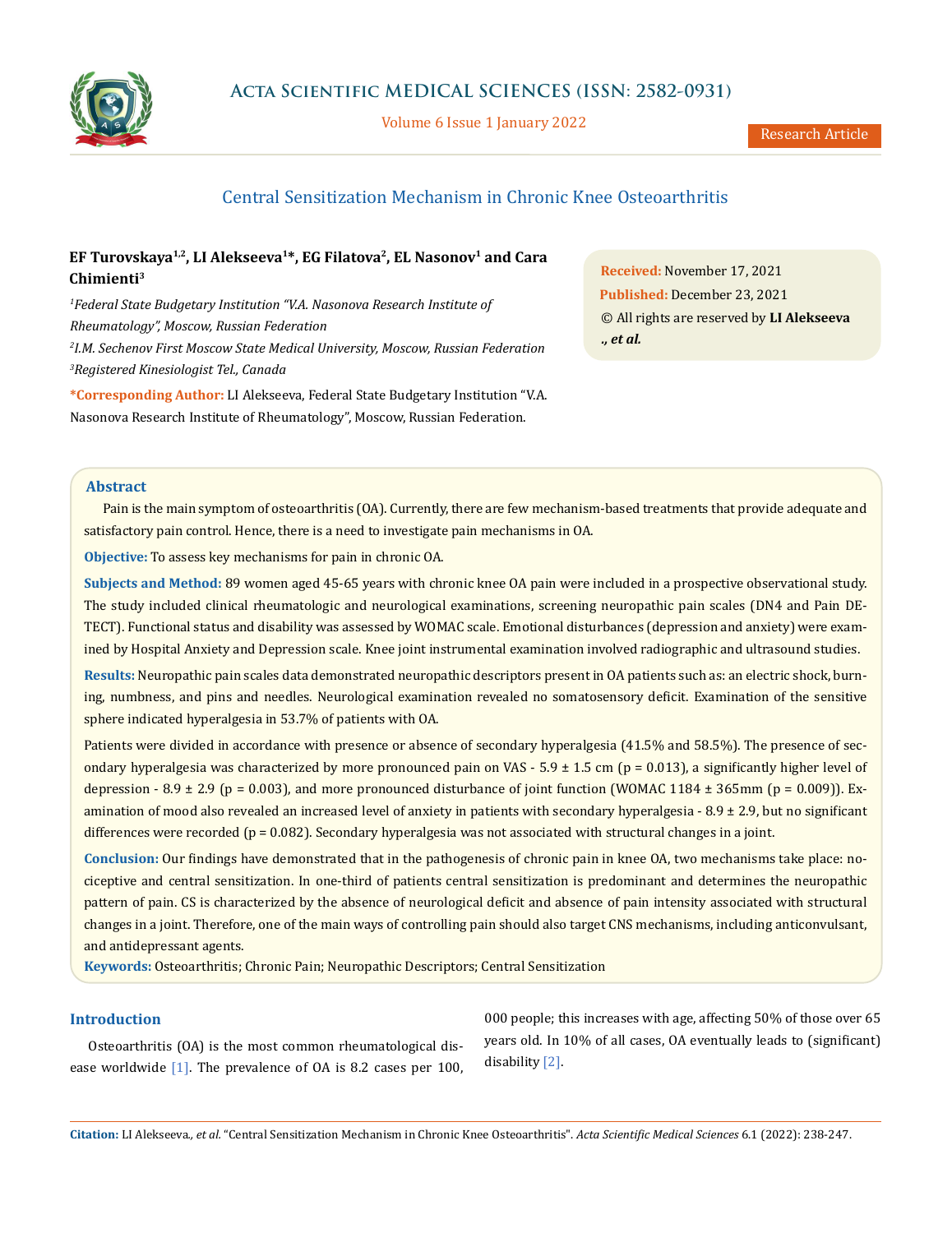

Volume 6 Issue 1 January 2022

# Central Sensitization Mechanism in Chronic Knee Osteoarthritis

# **EF Turovskaya1,2, LI Alekseeva1\*, EG Filatova2, EL Nasonov1 and Cara Chimienti3**

 *Federal State Budgetary Institution "V.A. Nasonova Research Institute of Rheumatology", Moscow, Russian Federation I.M. Sechenov First Moscow State Medical University, Moscow, Russian Federation Registered Kinesiologist Tel., Canada*

**\*Corresponding Author:** LI Alekseeva, Federal State Budgetary Institution "V.A. Nasonova Research Institute of Rheumatology", Moscow, Russian Federation.

**Received:** November 17, 2021 **Published:** December 23, 2021 © All rights are reserved by **LI Alekseeva** *., et al.*

#### **Abstract**

Pain is the main symptom of osteoarthritis (OA). Currently, there are few mechanism-based treatments that provide adequate and satisfactory pain control. Hence, there is a need to investigate pain mechanisms in OA.

**Objective:** To assess key mechanisms for pain in chronic OA.

**Subjects and Method:** 89 women aged 45-65 years with chronic knee OA pain were included in a prospective observational study. The study included clinical rheumatologic and neurological examinations, screening neuropathic pain scales (DN4 and Pain DE-TECT). Functional status and disability was assessed by WOMAC scale. Emotional disturbances (depression and anxiety) were examined by Hospital Anxiety and Depression scale. Knee joint instrumental examination involved radiographic and ultrasound studies.

**Results:** Neuropathic pain scales data demonstrated neuropathic descriptors present in OA patients such as: an electric shock, burning, numbness, and pins and needles. Neurological examination revealed no somatosensory deficit. Examination of the sensitive sphere indicated hyperalgesia in 53.7% of patients with OA.

Patients were divided in accordance with presence or absence of secondary hyperalgesia (41.5% and 58.5%). The presence of secondary hyperalgesia was characterized by more pronounced pain on VAS - 5.9  $\pm$  1.5 cm (p = 0.013), a significantly higher level of depression - 8.9  $\pm$  2.9 (p = 0.003), and more pronounced disturbance of joint function (WOMAC 1184  $\pm$  365mm (p = 0.009)). Examination of mood also revealed an increased level of anxiety in patients with secondary hyperalgesia  $-8.9 \pm 2.9$ , but no significant differences were recorded ( $p = 0.082$ ). Secondary hyperalgesia was not associated with structural changes in a joint.

**Conclusion:** Our findings have demonstrated that in the pathogenesis of chronic pain in knee OA, two mechanisms take place: nociceptive and central sensitization. In one-third of patients central sensitization is predominant and determines the neuropathic pattern of pain. CS is characterized by the absence of neurological deficit and absence of pain intensity associated with structural changes in a joint. Therefore, one of the main ways of controlling pain should also target CNS mechanisms, including anticonvulsant, and antidepressant agents.

**Keywords:** Osteoarthritis; Chronic Pain; Neuropathic Descriptors; Central Sensitization

## **Introduction**

Osteoarthritis (OA) is the most common rheumatological disease worldwide [1]. The prevalence of OA is 8.2 cases per 100,

000 people; this increases with age, affecting 50% of those over 65 years old. In 10% of all cases, OA eventually leads to (significant) disability [2].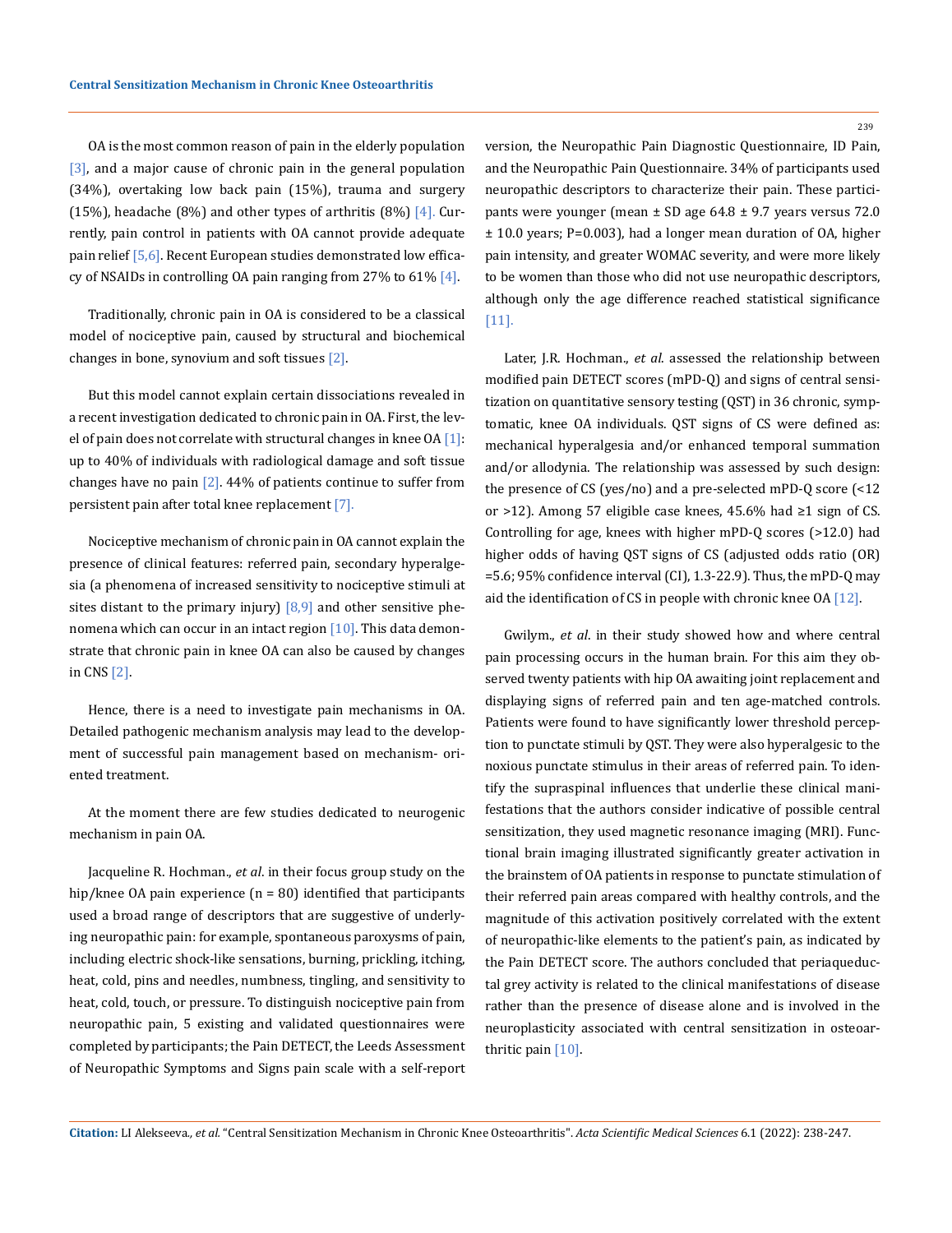ОА is the most common reason of pain in the elderly population [3], and a major cause of chronic pain in the general population (34%), overtaking low back pain (15%), trauma and surgery (15%), headache (8%) and other types of arthritis (8%)  $[4]$ . Currently, pain control in patients with OA cannot provide adequate pain relief [5,6]. Recent European studies demonstrated low efficacy of NSAIDs in controlling OA pain ranging from 27% to 61%  $[4]$ .

Traditionally, chronic pain in OA is considered to be a classical model of nociceptive pain, caused by structural and biochemical changes in bone, synovium and soft tissues [2].

But this model cannot explain certain dissociations revealed in a recent investigation dedicated to chronic pain in OA. First, the level of pain does not correlate with structural changes in knee OA [1]: up to 40% of individuals with radiological damage and soft tissue changes have no pain  $[2]$ . 44% of patients continue to suffer from persistent pain after total knee replacement [7].

Nociceptive mechanism of chronic pain in OA cannot explain the presence of clinical features: referred pain, secondary hyperalgesia (a phenomena of increased sensitivity to nociceptive stimuli at sites distant to the primary injury]  $[8,9]$  and other sensitive phenomena which can occur in an intact region [10]. This data demonstrate that chronic pain in knee OA can also be caused by changes in CNS [2].

Hence, there is a need to investigate pain mechanisms in OA. Detailed pathogenic mechanism analysis may lead to the development of successful pain management based on mechanism- oriented treatment.

At the moment there are few studies dedicated to neurogenic mechanism in pain OA.

Jacqueline R. Hochman., *et al*. in their focus group study on the hip/knee OA pain experience  $(n = 80)$  identified that participants used a broad range of descriptors that are suggestive of underlying neuropathic pain: for example, spontaneous paroxysms of pain, including electric shock-like sensations, burning, prickling, itching, heat, cold, pins and needles, numbness, tingling, and sensitivity to heat, cold, touch, or pressure. To distinguish nociceptive pain from neuropathic pain, 5 existing and validated questionnaires were completed by participants; the Pain DETECT, the Leeds Assessment of Neuropathic Symptoms and Signs pain scale with a self-report version, the Neuropathic Pain Diagnostic Questionnaire, ID Pain, and the Neuropathic Pain Questionnaire. 34% of participants used neuropathic descriptors to characterize their pain. These participants were younger (mean  $\pm$  SD age 64.8  $\pm$  9.7 years versus 72.0 ± 10.0 years; P=0.003), had a longer mean duration of OA, higher pain intensity, and greater WOMAC severity, and were more likely to be women than those who did not use neuropathic descriptors, although only the age difference reached statistical significance [11].

Later, J.R. Hochman., *et al*. assessed the relationship between modified pain DETECT scores (mPD-Q) and signs of central sensitization on quantitative sensory testing (QST) in 36 chronic, symptomatic, knee OA individuals. QST signs of CS were defined as: mechanical hyperalgesia and/or enhanced temporal summation and/or allodynia. The relationship was assessed by such design: the presence of CS (yes/no) and a pre-selected mPD-Q score (<12 or >12). Among 57 eligible case knees, 45.6% had ≥1 sign of CS. Controlling for age, knees with higher mPD-Q scores (>12.0) had higher odds of having QST signs of CS (adjusted odds ratio (OR) =5.6; 95% confidence interval (CI), 1.3-22.9). Thus, the mPD-Q may aid the identification of CS in people with chronic knee OA [12].

Gwilym., *et al*. in their study showed how and where central pain processing occurs in the human brain. For this aim they observed twenty patients with hip OA awaiting joint replacement and displaying signs of referred pain and ten age-matched controls. Patients were found to have significantly lower threshold perception to punctate stimuli by QST. They were also hyperalgesic to the noxious punctate stimulus in their areas of referred pain. To identify the supraspinal influences that underlie these clinical manifestations that the authors consider indicative of possible central sensitization, they used magnetic resonance imaging (MRI). Functional brain imaging illustrated significantly greater activation in the brainstem of OA patients in response to punctate stimulation of their referred pain areas compared with healthy controls, and the magnitude of this activation positively correlated with the extent of neuropathic-like elements to the patient's pain, as indicated by the Pain DETECT score. The authors concluded that periaqueductal grey activity is related to the clinical manifestations of disease rather than the presence of disease alone and is involved in the neuroplasticity associated with central sensitization in osteoarthritic pain [10].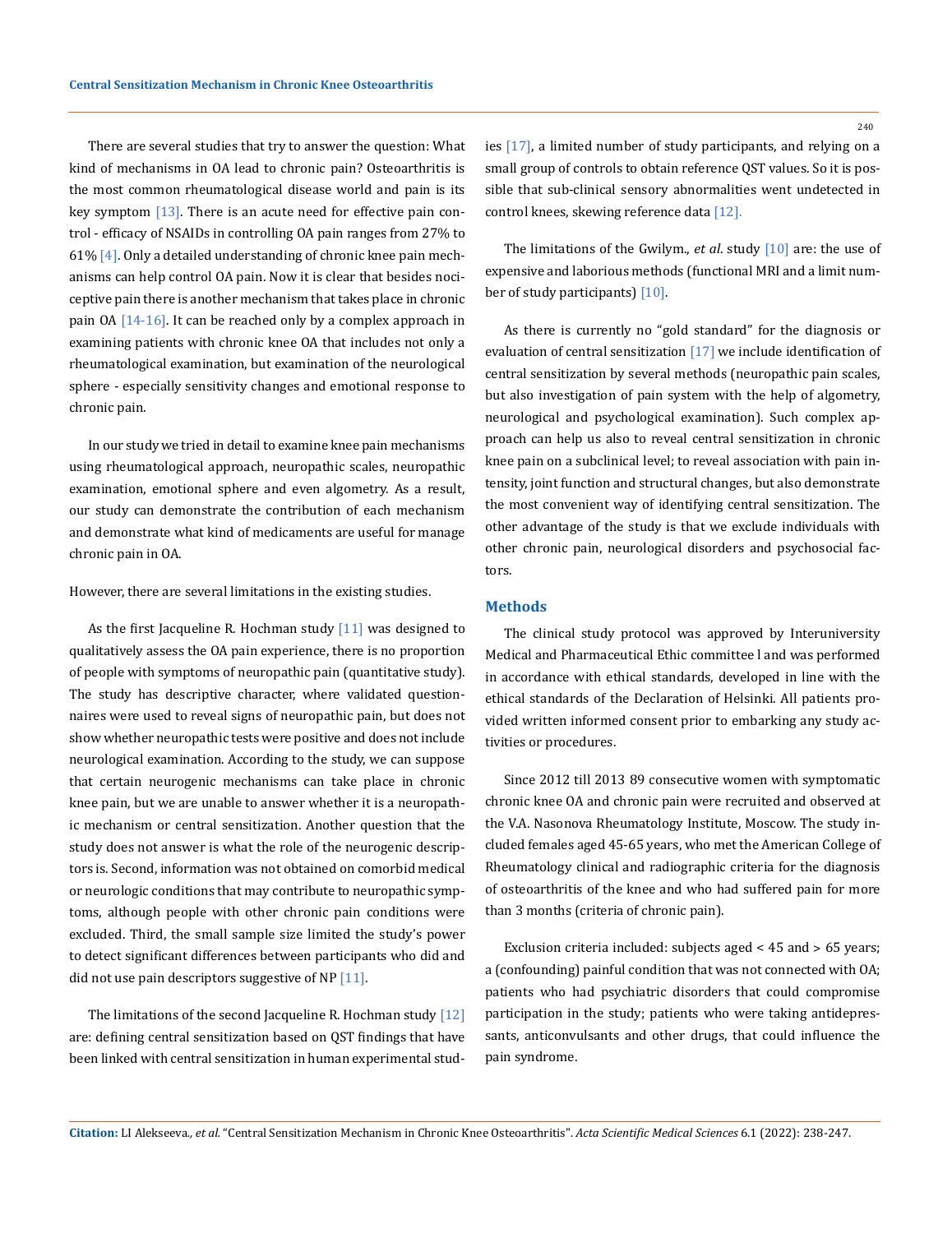There are several studies that try to answer the question: What kind of mechanisms in OA lead to chronic pain? Osteoarthritis is the most common rheumatological disease world and pain is its key symptom  $[13]$ . There is an acute need for effective pain control - efficacy of NSAIDs in controlling OA pain ranges from 27% to 61% [4]. Only a detailed understanding of chronic knee pain mechanisms can help control OA pain. Now it is clear that besides nociceptive pain there is another mechanism that takes place in chronic pain OA [14-16]. It can be reached only by a complex approach in examining patients with chronic knee OA that includes not only a rheumatological examination, but examination of the neurological sphere - especially sensitivity changes and emotional response to chronic pain.

In our study we tried in detail to examine knee pain mechanisms using rheumatological approach, neuropathic scales, neuropathic examination, emotional sphere and even algometry. As a result, our study can demonstrate the contribution of each mechanism and demonstrate what kind of medicaments are useful for manage chronic pain in OA.

However, there are several limitations in the existing studies.

As the first Jacqueline R. Hochman study  $[11]$  was designed to qualitatively assess the OA pain experience, there is no proportion of people with symptoms of neuropathic pain (quantitative study). The study has descriptive character, where validated questionnaires were used to reveal signs of neuropathic pain, but does not show whether neuropathic tests were positive and does not include neurological examination. According to the study, we can suppose that certain neurogenic mechanisms can take place in chronic knee pain, but we are unable to answer whether it is a neuropathic mechanism or central sensitization. Another question that the study does not answer is what the role of the neurogenic descriptors is. Second, information was not obtained on comorbid medical or neurologic conditions that may contribute to neuropathic symptoms, although people with other chronic pain conditions were excluded. Third, the small sample size limited the study's power to detect significant differences between participants who did and did not use pain descriptors suggestive of NP  $[11]$ .

The limitations of the second Jacqueline R. Hochman study [12] are: defining central sensitization based on QST findings that have been linked with central sensitization in human experimental studies [17], a limited number of study participants, and relying on a small group of controls to obtain reference QST values. So it is possible that sub-clinical sensory abnormalities went undetected in control knees, skewing reference data [12].

The limitations of the Gwilym., *et al*. study [10] are: the use of expensive and laborious methods (functional MRI and a limit number of study participants) [10].

As there is currently no "gold standard" for the diagnosis or evaluation of central sensitization [17] we include identification of central sensitization by several methods (neuropathic pain scales, but also investigation of pain system with the help of algometry, neurological and psychological examination). Such complex approach can help us also to reveal central sensitization in chronic knee pain on a subclinical level; to reveal association with pain intensity, joint function and structural changes, but also demonstrate the most convenient way of identifying central sensitization. The other advantage of the study is that we exclude individuals with other chronic pain, neurological disorders and psychosocial factors.

## **Methods**

The clinical study protocol was approved by Interuniversity Medical and Pharmaceutical Ethic committee l and was performed in accordance with ethical standards, developed in line with the ethical standards of the Declaration of Helsinki. All patients provided written informed consent prior to embarking any study activities or procedures.

Since 2012 till 2013 89 consecutive women with symptomatic chronic knee OA and chronic pain were recruited and observed at the V.A. Nasonova Rheumatology Institute, Moscow. The study included females aged 45-65 years, who met the American College of Rheumatology clinical and radiographic criteria for the diagnosis of osteoarthritis of the knee and who had suffered pain for more than 3 months (criteria of chronic pain).

Exclusion criteria included: subjects aged < 45 and > 65 years; a (confounding) painful condition that was not connected with OA; patients who had psychiatric disorders that could compromise participation in the study; patients who were taking antidepressants, anticonvulsants and other drugs, that could influence the pain syndrome.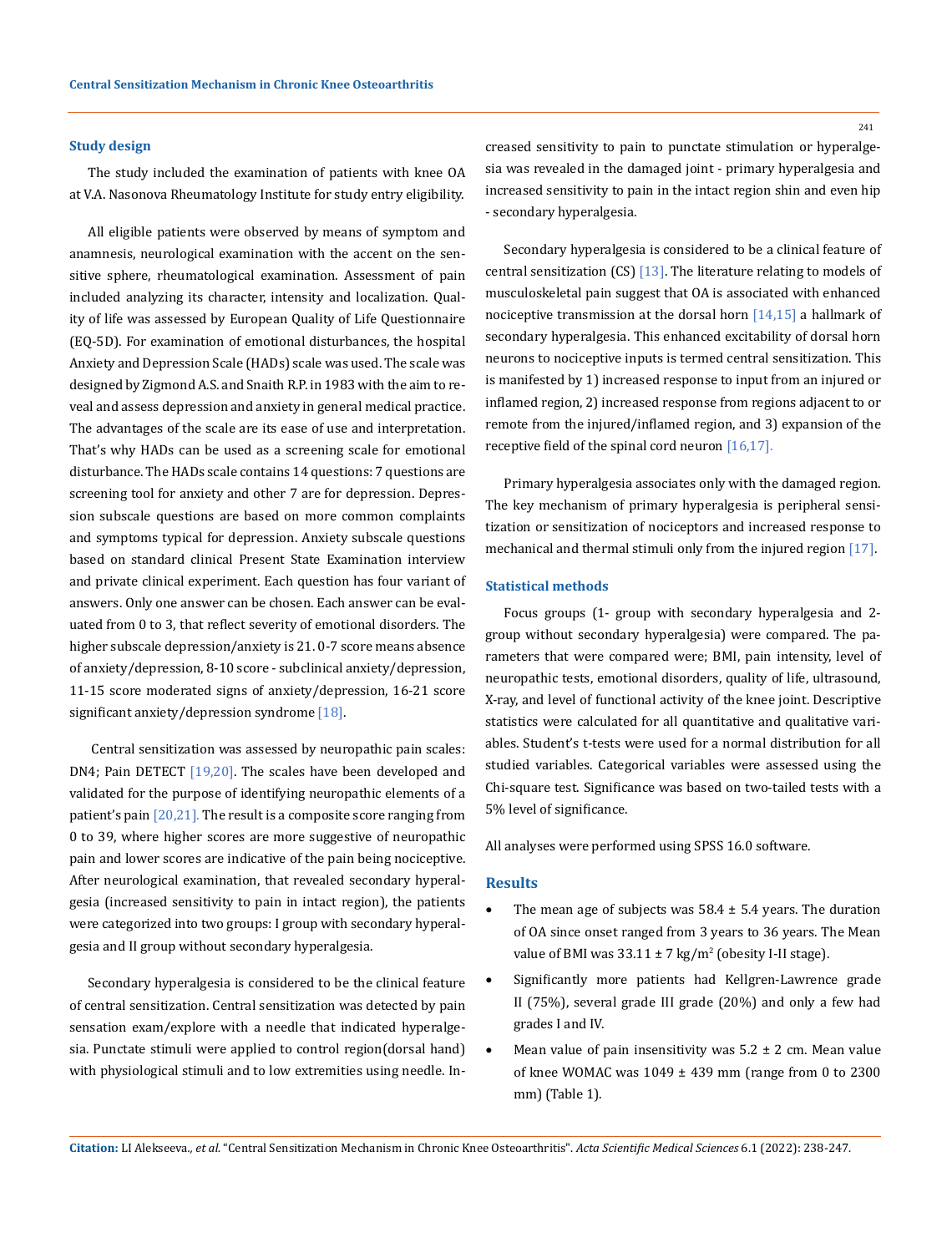#### **Study design**

The study included the examination of patients with knee OA at V.A. Nasonova Rheumatology Institute for study entry eligibility.

All eligible patients were observed by means of symptom and anamnesis, neurological examination with the accent on the sensitive sphere, rheumatological examination. Assessment of pain included analyzing its character, intensity and localization. Quality of life was assessed by European Quality of Life Questionnaire (EQ-5D). For examination of emotional disturbances, the hospital Anxiety and Depression Scale (HADs) scale was used. The scale was designed by Zigmond A.S. and Snaith R.P. in 1983 with the aim to reveal and assess depression and anxiety in general medical practice. The advantages of the scale are its ease of use and interpretation. That's why HADs can be used as a screening scale for emotional disturbance. The HADs scale contains 14 questions: 7 questions are screening tool for anxiety and other 7 are for depression. Depression subscale questions are based on more common complaints and symptoms typical for depression. Anxiety subscale questions based on standard clinical Present State Examination interview and private clinical experiment. Each question has four variant of answers. Only one answer can be chosen. Each answer can be evaluated from 0 to 3, that reflect severity of emotional disorders. The higher subscale depression/anxiety is 21. 0-7 score means absence of anxiety/depression, 8-10 score - subclinical anxiety/depression, 11-15 score moderated signs of anxiety/depression, 16-21 score significant anxiety/depression syndrome [18].

 Central sensitization was assessed by neuropathic pain scales: DN4; Pain DETECT [19,20]. The scales have been developed and validated for the purpose of identifying neuropathic elements of a patient's pain  $[20,21]$ . The result is a composite score ranging from 0 to 39, where higher scores are more suggestive of neuropathic pain and lower scores are indicative of the pain being nociceptive. After neurological examination, that revealed secondary hyperalgesia (increased sensitivity to pain in intact region), the patients were categorized into two groups: I group with secondary hyperalgesia and II group without secondary hyperalgesia.

Secondary hyperalgesia is considered to be the clinical feature of central sensitization. Central sensitization was detected by pain sensation exam/explore with a needle that indicated hyperalgesia. Punctate stimuli were applied to control region(dorsal hand) with physiological stimuli and to low extremities using needle. Increased sensitivity to pain to punctate stimulation or hyperalgesia was revealed in the damaged joint - primary hyperalgesia and increased sensitivity to pain in the intact region shin and even hip - secondary hyperalgesia.

Secondary hyperalgesia is considered to be a clinical feature of central sensitization (CS) [13]. The literature relating to models of musculoskeletal pain suggest that OA is associated with enhanced nociceptive transmission at the dorsal horn [14,15] a hallmark of secondary hyperalgesia. This enhanced excitability of dorsal horn neurons to nociceptive inputs is termed central sensitization. This is manifested by 1) increased response to input from an injured or inflamed region, 2) increased response from regions adjacent to or remote from the injured/inflamed region, and 3) expansion of the receptive field of the spinal cord neuron [16,17].

Primary hyperalgesia associates only with the damaged region. The key mechanism of primary hyperalgesia is peripheral sensitization or sensitization of nociceptors and increased response to mechanical and thermal stimuli only from the injured region [17].

#### **Statistical methods**

Focus groups (1- group with secondary hyperalgesia and 2 group without secondary hyperalgesia) were compared. The parameters that were compared were; BMI, pain intensity, level of neuropathic tests, emotional disorders, quality of life, ultrasound, X-ray, and level of functional activity of the knee joint. Descriptive statistics were calculated for all quantitative and qualitative variables. Student's t-tests were used for a normal distribution for all studied variables. Categorical variables were assessed using the Chi-square test. Significance was based on two-tailed tests with a 5% level of significance.

All analyses were performed using SPSS 16.0 software.

#### **Results**

- The mean age of subjects was  $58.4 \pm 5.4$  years. The duration of OA since onset ranged from 3 years to 36 years. The Mean value of BMI was  $33.11 \pm 7 \text{ kg/m}^2$  (obesity I-II stage).
- Significantly more patients had Kellgren-Lawrence grade II (75%), several grade III grade (20%) and only a few had grades I and IV.
- Mean value of pain insensitivity was  $5.2 \pm 2$  cm. Mean value of knee WOMAC was  $1049 \pm 439$  mm (range from 0 to 2300 mm) (Table 1).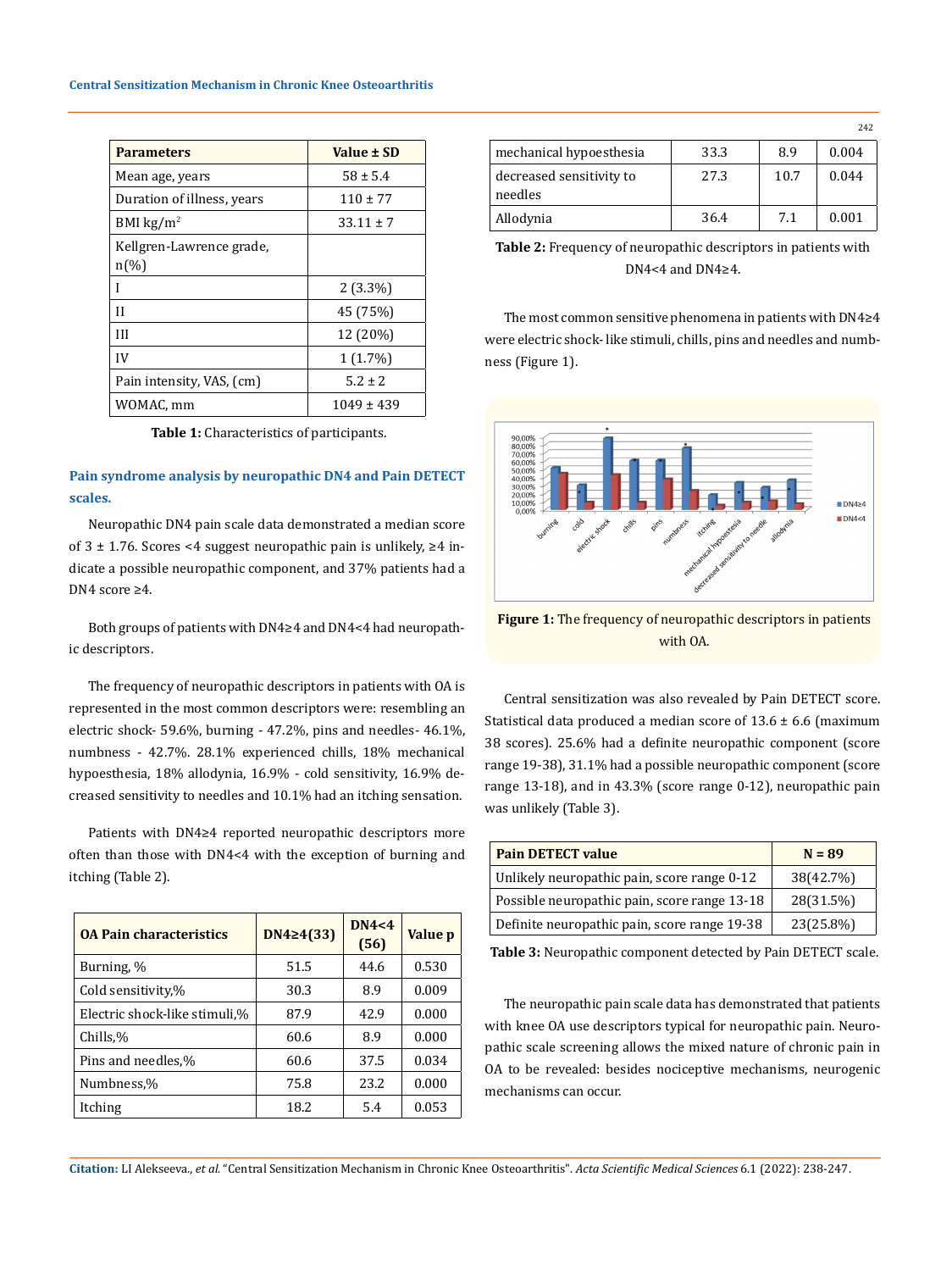| <b>Parameters</b>                              | Value ± SD     |
|------------------------------------------------|----------------|
| Mean age, years                                | $58 \pm 5.4$   |
| Duration of illness, years                     | $110 \pm 77$   |
| BMI $\text{kg/m}^2$                            | $33.11 \pm 7$  |
| Kellgren-Lawrence grade,<br>$n\left(\%\right)$ |                |
|                                                | $2(3.3\%)$     |
| Н                                              | 45 (75%)       |
| Ш                                              | 12 (20%)       |
| IV                                             | $1(1.7\%)$     |
| Pain intensity, VAS, (cm)                      | $5.2 \pm 2$    |
| WOMAC, mm                                      | $1049 \pm 439$ |

**Table 1:** Characteristics of participants.

# **Pain syndrome analysis by neuropathic DN4 and Pain DETECT scales.**

Neuropathic DN4 pain scale data demonstrated a median score of  $3 ± 1.76$ . Scores <4 suggest neuropathic pain is unlikely, ≥4 indicate a possible neuropathic component, and 37% patients had a DN4 score ≥4.

Both groups of patients with DN4≥4 and DN4<4 had neuropathic descriptors.

The frequency of neuropathic descriptors in patients with OA is represented in the most common descriptors were: resembling an electric shock- 59.6%, burning - 47.2%, pins and needles- 46.1%, numbness - 42.7%. 28.1% experienced chills, 18% mechanical hypoesthesia, 18% allodynia, 16.9% - cold sensitivity, 16.9% decreased sensitivity to needles and 10.1% had an itching sensation.

Patients with DN4≥4 reported neuropathic descriptors more often than those with DN4<4 with the exception of burning and itching (Table 2).

| <b>04 Pain characteristics</b> | $DN4 \geq 4(33)$ | DN4<4<br>(56) | Value p |
|--------------------------------|------------------|---------------|---------|
| Burning, %                     | 51.5             | 44.6          | 0.530   |
| Cold sensitivity,%             | 30.3             | 8.9           | 0.009   |
| Electric shock-like stimuli,%  | 87.9             | 42.9          | 0.000   |
| Chills,%                       | 60.6             | 8.9           | 0.000   |
| Pins and needles,%             | 60.6             | 37.5          | 0.034   |
| Numbness,%                     | 75.8             | 23.2          | 0.000   |
| Itching                        | 18.2             | 5.4           | 0.053   |

|                                     |      |      | 242   |
|-------------------------------------|------|------|-------|
| mechanical hypoesthesia             | 33.3 | 8.9  | 0.004 |
| decreased sensitivity to<br>needles | 27.3 | 10.7 | 0.044 |
| Allodynia                           | 36.4 | 7.1  | 0.001 |

**Table 2:** Frequency of neuropathic descriptors in patients with DN4<4 and DN4≥4.

The most common sensitive phenomena in patients with DN4≥4 were electric shock- like stimuli, chills, pins and needles and numbness (Figure 1).



**Figure 1:** The frequency of neuropathic descriptors in patients with OA.

Central sensitization was also revealed by Pain DETECT score. Statistical data produced a median score of  $13.6 \pm 6.6$  (maximum 38 scores). 25.6% had a definite neuropathic component (score range 19-38), 31.1% had a possible neuropathic component (score range 13-18), and in 43.3% (score range 0-12), neuropathic pain was unlikely (Table 3).

| <b>Pain DETECT value</b>                     | $N = 89$  |
|----------------------------------------------|-----------|
| Unlikely neuropathic pain, score range 0-12  | 38(42.7%) |
| Possible neuropathic pain, score range 13-18 | 28(31.5%) |
| Definite neuropathic pain, score range 19-38 | 23(25.8%) |

**Table 3:** Neuropathic component detected by Pain DETECT scale.

The neuropathic pain scale data has demonstrated that patients with knee OA use descriptors typical for neuropathic pain. Neuropathic scale screening allows the mixed nature of chronic pain in OA to be revealed: besides nociceptive mechanisms, neurogenic mechanisms can occur.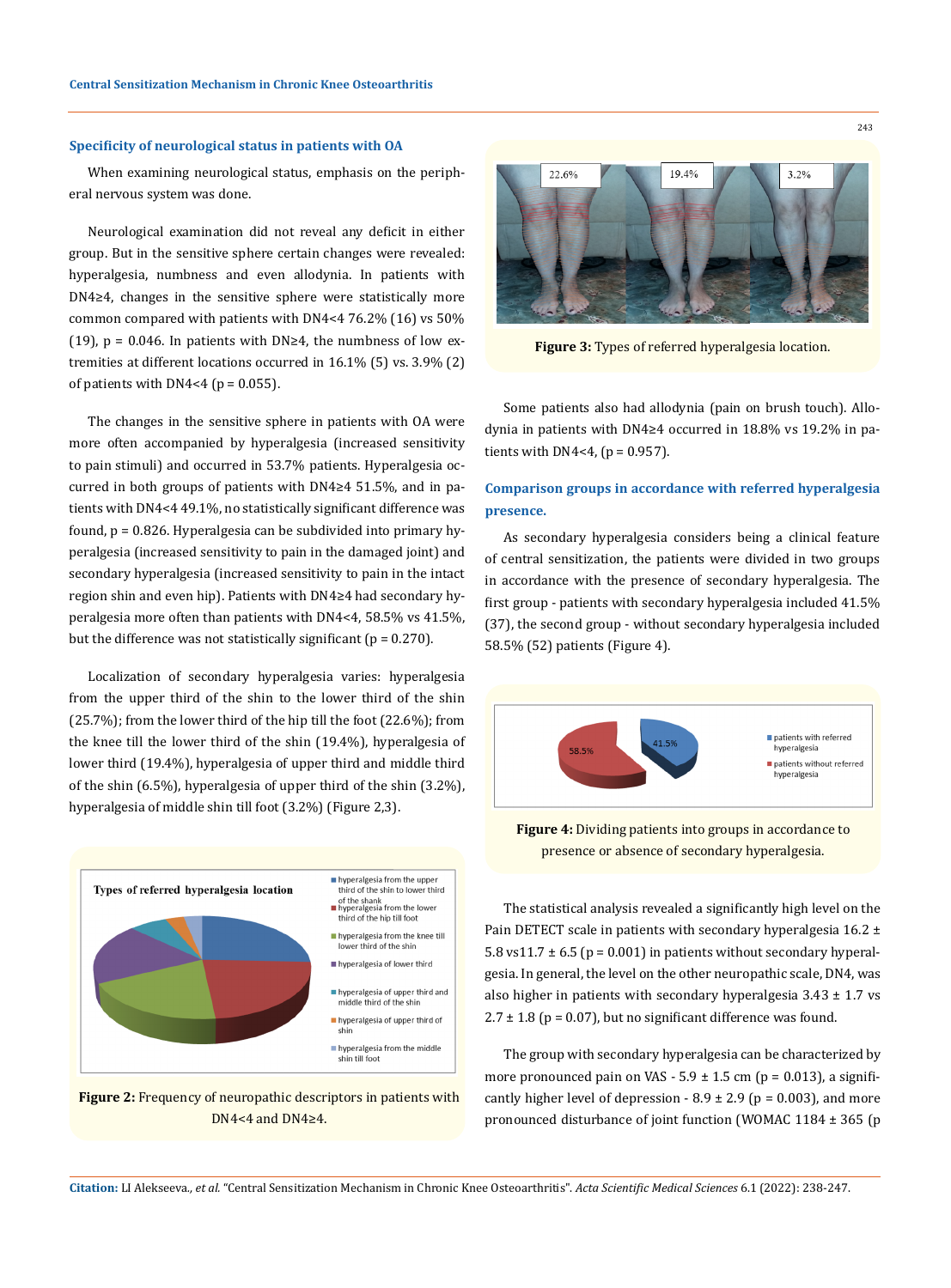#### **Specificity of neurological status in patients with OA**

When examining neurological status, emphasis on the peripheral nervous system was done.

Neurological examination did not reveal any deficit in either group. But in the sensitive sphere certain changes were revealed: hyperalgesia, numbness and even allodynia. In patients with DN4≥4, changes in the sensitive sphere were statistically more common compared with patients with DN4<4 76.2% (16) vs 50% (19),  $p = 0.046$ . In patients with DN≥4, the numbness of low extremities at different locations occurred in 16.1% (5) vs. 3.9% (2) of patients with DN4<4 ( $p = 0.055$ ).

The changes in the sensitive sphere in patients with OA were more often accompanied by hyperalgesia (increased sensitivity to pain stimuli) and occurred in 53.7% patients. Hyperalgesia occurred in both groups of patients with DN4≥4 51.5%, and in patients with DN4<4 49.1%, no statistically significant difference was found, р = 0.826. Hyperalgesia can be subdivided into primary hyperalgesia (increased sensitivity to pain in the damaged joint) and secondary hyperalgesia (increased sensitivity to pain in the intact region shin and even hip). Patients with DN4≥4 had secondary hyperalgesia more often than patients with DN4<4, 58.5% vs 41.5%, but the difference was not statistically significant ( $p = 0.270$ ).

Localization of secondary hyperalgesia varies: hyperalgesia from the upper third of the shin to the lower third of the shin (25.7%); from the lower third of the hip till the foot (22.6%); from the knee till the lower third of the shin (19.4%), hyperalgesia of lower third (19.4%), hyperalgesia of upper third and middle third of the shin (6.5%), hyperalgesia of upper third of the shin (3.2%), hyperalgesia of middle shin till foot (3.2%) (Figure 2,3).



**Figure 2:** Frequency of neuropathic descriptors in patients with DN4<4 and DN4≥4.



**Figure 3:** Types of referred hyperalgesia location.

Some patients also had allodynia (pain on brush touch). Allodynia in patients with DN4≥4 occurred in 18.8% vs 19.2% in patients with  $DN4<4$ , ( $p = 0.957$ ).

# **Comparison groups in accordance with referred hyperalgesia presence.**

As secondary hyperalgesia considers being a clinical feature of central sensitization, the patients were divided in two groups in accordance with the presence of secondary hyperalgesia. The first group - patients with secondary hyperalgesia included 41.5% (37), the second group - without secondary hyperalgesia included 58.5% (52) patients (Figure 4).



**Figure 4:** Dividing patients into groups in accordance to presence or absence of secondary hyperalgesia.

The statistical analysis revealed a significantly high level on the Pain DETECT scale in patients with secondary hyperalgesia 16.2 ± 5.8 vs11.7  $\pm$  6.5 (p = 0.001) in patients without secondary hyperalgesia. In general, the level on the other neuropathic scale, DN4, was also higher in patients with secondary hyperalgesia  $3.43 \pm 1.7$  vs  $2.7 \pm 1.8$  (p = 0.07), but no significant difference was found.

The group with secondary hyperalgesia can be characterized by more pronounced pain on VAS -  $5.9 \pm 1.5$  cm (p = 0.013), a significantly higher level of depression  $-8.9 \pm 2.9$  (p = 0.003), and more pronounced disturbance of joint function (WOMAC 1184 ± 365 (р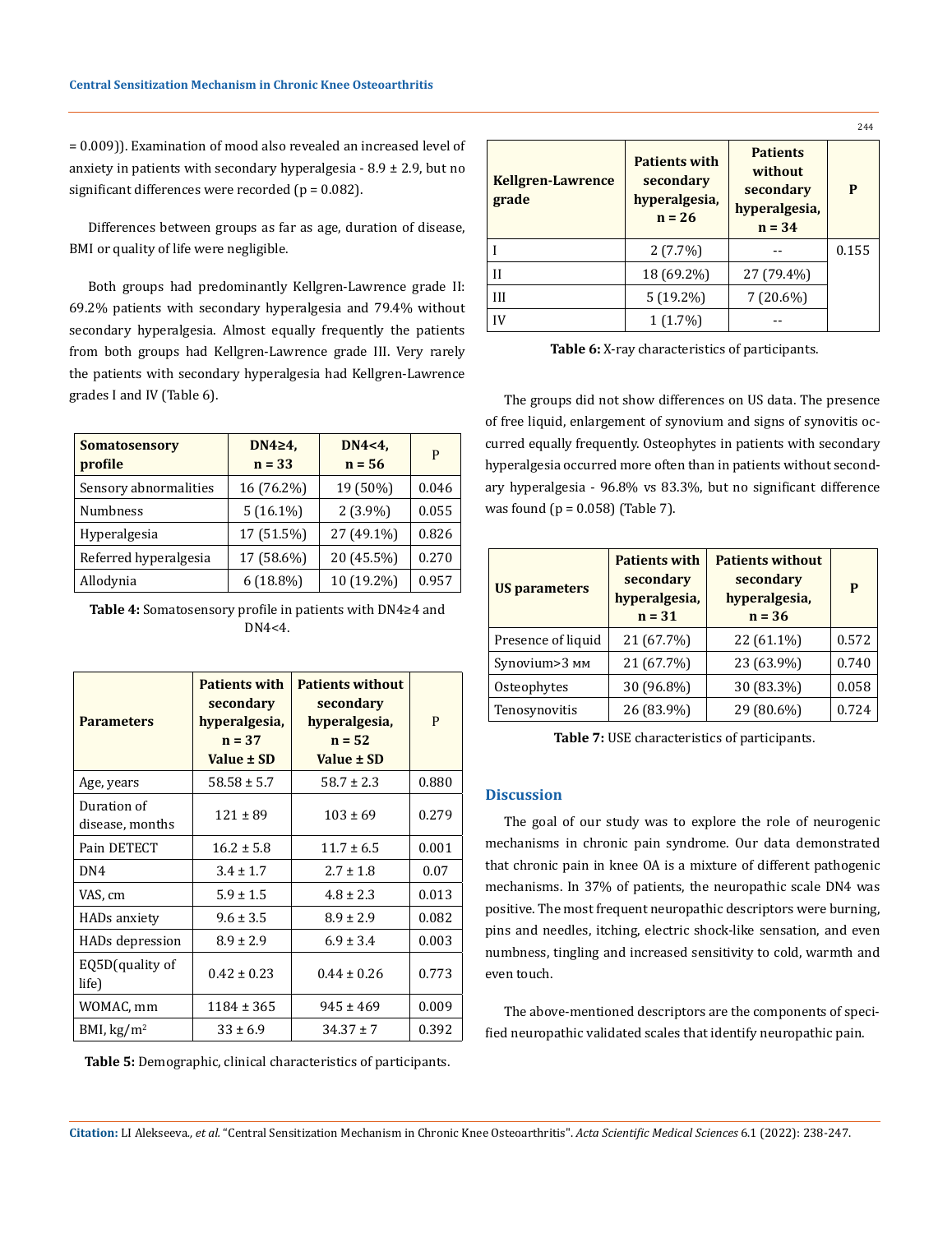= 0.009)). Examination of mood also revealed an increased level of anxiety in patients with secondary hyperalgesia  $-8.9 \pm 2.9$ , but no significant differences were recorded ( $p = 0.082$ ).

Differences between groups as far as age, duration of disease, BMI or quality of life were negligible.

Both groups had predominantly Kellgren-Lawrence grade II: 69.2% patients with secondary hyperalgesia and 79.4% without secondary hyperalgesia. Almost equally frequently the patients from both groups had Kellgren-Lawrence grade III. Very rarely the patients with secondary hyperalgesia had Kellgren-Lawrence grades I and IV (Table 6).

| <b>Somatosensory</b><br>profile | DN4 $\geq$ 4,<br>$n = 33$ | $DN4<4$ ,<br>$n = 56$ | P     |
|---------------------------------|---------------------------|-----------------------|-------|
| Sensory abnormalities           | 16 (76.2%)                | 19 (50%)              | 0.046 |
| <b>Numbness</b>                 | $5(16.1\%)$               | $2(3.9\%)$            | 0.055 |
| Hyperalgesia                    | 17 (51.5%)                | 27 (49.1%)            | 0.826 |
| Referred hyperalgesia           | 17 (58.6%)                | 20 (45.5%)            | 0.270 |
| Allodynia                       | $6(18.8\%)$               | 10 (19.2%)            | 0.957 |

**Table 4:** Somatosensory profile in patients with DN4≥4 and DN4<4.

| <b>Parameters</b>              | <b>Patients with</b><br>secondary<br>hyperalgesia,<br>$n = 37$<br>Value ± SD | <b>Patients without</b><br>secondary<br>hyperalgesia,<br>$n = 52$<br>Value ± SD | P     |
|--------------------------------|------------------------------------------------------------------------------|---------------------------------------------------------------------------------|-------|
| Age, years                     | $58.58 \pm 5.7$                                                              | $58.7 \pm 2.3$                                                                  | 0.880 |
| Duration of<br>disease, months | $121 \pm 89$                                                                 | $103 \pm 69$                                                                    | 0.279 |
| Pain DETECT                    | $16.2 \pm 5.8$                                                               | $11.7 \pm 6.5$                                                                  | 0.001 |
| DN <sub>4</sub>                | $3.4 \pm 1.7$                                                                | $2.7 \pm 1.8$                                                                   | 0.07  |
| VAS, cm                        | $5.9 \pm 1.5$                                                                | $4.8 \pm 2.3$                                                                   | 0.013 |
| HADs anxiety                   | $9.6 \pm 3.5$                                                                | $8.9 \pm 2.9$                                                                   | 0.082 |
| HADs depression                | $8.9 \pm 2.9$                                                                | $6.9 \pm 3.4$                                                                   | 0.003 |
| EQ5D(quality of<br>life)       | $0.42 \pm 0.23$                                                              | $0.44 \pm 0.26$                                                                 | 0.773 |
| WOMAC, mm                      | 1184 ± 365                                                                   | $945 \pm 469$                                                                   | 0.009 |
| BMI, $\text{kg/m}^2$           | $33 \pm 6.9$                                                                 | $34.37 \pm 7$                                                                   | 0.392 |

**Table 5:** Demographic, clinical characteristics of participants.

|                                   |                                                                |                                                                      | 244   |
|-----------------------------------|----------------------------------------------------------------|----------------------------------------------------------------------|-------|
| <b>Kellgren-Lawrence</b><br>grade | <b>Patients with</b><br>secondary<br>hyperalgesia,<br>$n = 26$ | <b>Patients</b><br>without<br>secondary<br>hyperalgesia,<br>$n = 34$ | P     |
|                                   | $2(7.7\%)$                                                     |                                                                      | 0.155 |
| H                                 | 18 (69.2%)                                                     | 27 (79.4%)                                                           |       |
| III                               | $5(19.2\%)$                                                    | $7(20.6\%)$                                                          |       |
| IV                                | $1(1.7\%)$                                                     |                                                                      |       |

**Table 6:** X-ray characteristics of participants.

The groups did not show differences on US data. The presence of free liquid, enlargement of synovium and signs of synovitis occurred equally frequently. Osteophytes in patients with secondary hyperalgesia occurred more often than in patients without secondary hyperalgesia - 96.8% vs 83.3%, but no significant difference was found  $(p = 0.058)$  (Table 7).

| <b>US</b> parameters | <b>Patients with</b><br>secondary<br>hyperalgesia,<br>$n = 31$ | <b>Patients without</b><br>secondary<br>hyperalgesia,<br>$n = 36$ | P     |
|----------------------|----------------------------------------------------------------|-------------------------------------------------------------------|-------|
| Presence of liquid   | 21 (67.7%)                                                     | 22 (61.1%)                                                        | 0.572 |
| Synovium>3 MM        | 21 (67.7%)                                                     | 23 (63.9%)                                                        | 0.740 |
| Osteophytes          | 30 (96.8%)                                                     | 30 (83.3%)                                                        | 0.058 |
| Tenosynovitis        | 26 (83.9%)                                                     | 29 (80.6%)                                                        | 0.724 |

**Table 7:** USE characteristics of participants.

## **Discussion**

The goal of our study was to explore the role of neurogenic mechanisms in chronic pain syndrome. Our data demonstrated that chronic pain in knee OA is a mixture of different pathogenic mechanisms. In 37% of patients, the neuropathic scale DN4 was positive. The most frequent neuropathic descriptors were burning, pins and needles, itching, electric shock-like sensation, and even numbness, tingling and increased sensitivity to cold, warmth and even touch.

The above-mentioned descriptors are the components of specified neuropathic validated scales that identify neuropathic pain.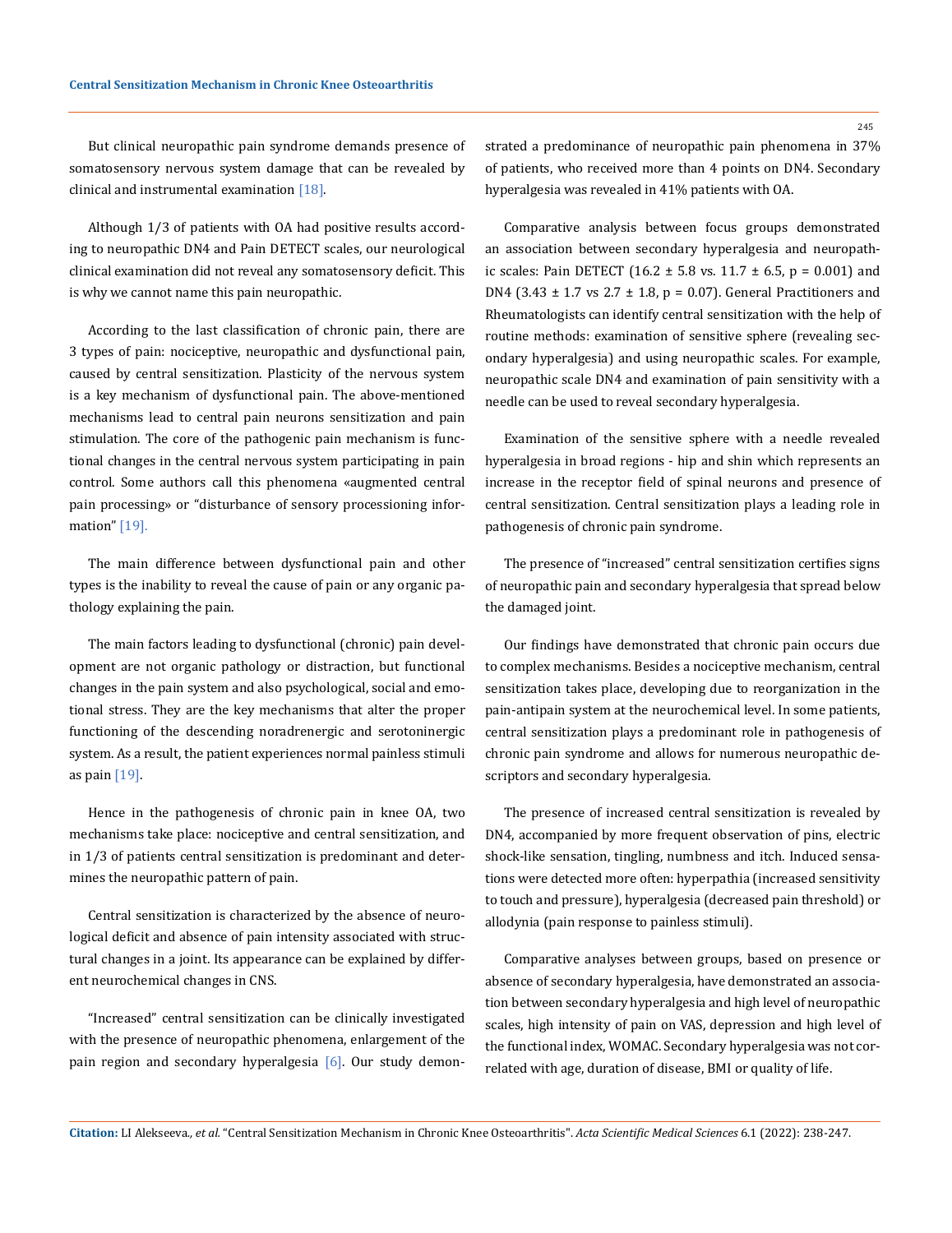But clinical neuropathic pain syndrome demands presence of somatosensory nervous system damage that can be revealed by clinical and instrumental examination [18].

Although 1/3 of patients with OA had positive results according to neuropathic DN4 and Pain DETECT scales, our neurological clinical examination did not reveal any somatosensory deficit. This is why we cannot name this pain neuropathic.

According to the last classification of chronic pain, there are 3 types of pain: nociceptive, neuropathic and dysfunctional pain, caused by central sensitization. Plasticity of the nervous system is a key mechanism of dysfunctional pain. The above-mentioned mechanisms lead to central pain neurons sensitization and pain stimulation. The core of the pathogenic pain mechanism is functional changes in the central nervous system participating in pain control. Some authors call this phenomena «augmented central pain processing» or "disturbance of sensory processioning information" [19].

The main difference between dysfunctional pain and other types is the inability to reveal the cause of pain or any organic pathology explaining the pain.

The main factors leading to dysfunctional (chronic) pain development are not organic pathology or distraction, but functional changes in the pain system and also psychological, social and emotional stress. They are the key mechanisms that alter the proper functioning of the descending noradrenergic and serotoninergic system. As a result, the patient experiences normal painless stimuli as pain  $[19]$ .

Hence in the pathogenesis of chronic pain in knee OA, two mechanisms take place: nociceptive and central sensitization, and in 1/3 of patients central sensitization is predominant and determines the neuropathic pattern of pain.

Central sensitization is characterized by the absence of neurological deficit and absence of pain intensity associated with structural changes in a joint. Its appearance can be explained by different neurochemical changes in CNS.

"Increased" central sensitization can be clinically investigated with the presence of neuropathic phenomena, enlargement of the pain region and secondary hyperalgesia [6]. Our study demonstrated a predominance of neuropathic pain phenomena in 37% of patients, who received more than 4 points on DN4. Secondary hyperalgesia was revealed in 41% patients with ОА.

Comparative analysis between focus groups demonstrated an association between secondary hyperalgesia and neuropathic scales: Pain DETECT (16.2  $\pm$  5.8 vs. 11.7  $\pm$  6.5, p = 0.001) and DN4 (3.43  $\pm$  1.7 vs 2.7  $\pm$  1.8, p = 0.07). General Practitioners and Rheumatologists can identify central sensitization with the help of routine methods: examination of sensitive sphere (revealing secondary hyperalgesia) and using neuropathic scales. For example, neuropathic scale DN4 and examination of pain sensitivity with a needle can be used to reveal secondary hyperalgesia.

Examination of the sensitive sphere with a needle revealed hyperalgesia in broad regions - hip and shin which represents an increase in the receptor field of spinal neurons and presence of central sensitization. Central sensitization plays a leading role in pathogenesis of chronic pain syndrome.

The presence of "increased" central sensitization certifies signs of neuropathic pain and secondary hyperalgesia that spread below the damaged joint.

Our findings have demonstrated that chronic pain occurs due to complex mechanisms. Besides a nociceptive mechanism, central sensitization takes place, developing due to reorganization in the pain-antipain system at the neurochemical level. In some patients, central sensitization plays a predominant role in pathogenesis of chronic pain syndrome and allows for numerous neuropathic descriptors and secondary hyperalgesia.

The presence of increased central sensitization is revealed by DN4, accompanied by more frequent observation of pins, electric shock-like sensation, tingling, numbness and itch. Induced sensations were detected more often: hyperpathia (increased sensitivity to touch and pressure), hyperalgesia (decreased pain threshold) or allodynia (pain response to painless stimuli).

Comparative analyses between groups, based on presence or absence of secondary hyperalgesia, have demonstrated an association between secondary hyperalgesia and high level of neuropathic scales, high intensity of pain on VAS, depression and high level of the functional index, WOMAC. Secondary hyperalgesia was not correlated with age, duration of disease, BMI or quality of life.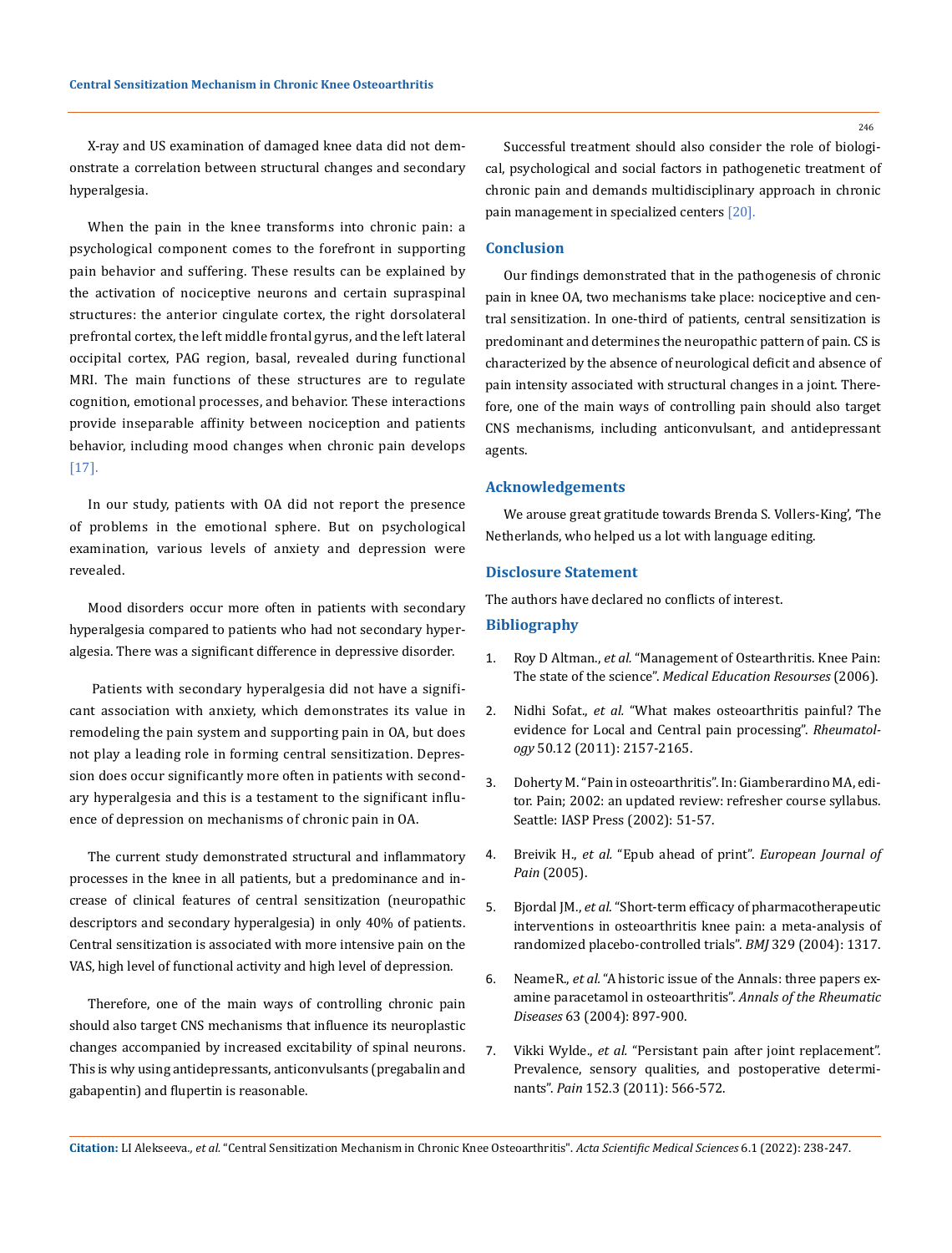X-ray and US examination of damaged knee data did not demonstrate a correlation between structural changes and secondary hyperalgesia.

When the pain in the knee transforms into chronic pain: a psychological component comes to the forefront in supporting pain behavior and suffering. These results can be explained by the activation of nociceptive neurons and certain supraspinal structures: the anterior cingulate cortex, the right dorsolateral prefrontal cortex, the left middle frontal gyrus, and the left lateral occipital cortex, PAG region, basal, revealed during functional MRI. The main functions of these structures are to regulate cognition, emotional processes, and behavior. These interactions provide inseparable affinity between nociception and patients behavior, including mood changes when chronic pain develops [17].

In our study, patients with OA did not report the presence of problems in the emotional sphere. But on psychological examination, various levels of anxiety and depression were revealed.

Mood disorders occur more often in patients with secondary hyperalgesia compared to patients who had not secondary hyperalgesia. There was a significant difference in depressive disorder.

 Patients with secondary hyperalgesia did not have a significant association with anxiety, which demonstrates its value in remodeling the pain system and supporting pain in OA, but does not play a leading role in forming central sensitization. Depression does occur significantly more often in patients with secondary hyperalgesia and this is a testament to the significant influence of depression on mechanisms of chronic pain in OA.

The current study demonstrated structural and inflammatory processes in the knee in all patients, but a predominance and increase of clinical features of central sensitization (neuropathic descriptors and secondary hyperalgesia) in only 40% of patients. Central sensitization is associated with more intensive pain on the VAS, high level of functional activity and high level of depression.

Therefore, one of the main ways of controlling chronic pain should also target CNS mechanisms that influence its neuroplastic changes accompanied by increased excitability of spinal neurons. This is why using antidepressants, anticonvulsants (pregabalin and gabapentin) and flupertin is reasonable.

Successful treatment should also consider the role of biological, psychological and social factors in pathogenetic treatment of chronic pain and demands multidisciplinary approach in chronic pain management in specialized centers [20].

## **Conclusion**

Our findings demonstrated that in the pathogenesis of chronic pain in knee OA, two mechanisms take place: nociceptive and central sensitization. In one-third of patients, central sensitization is predominant and determines the neuropathic pattern of pain. CS is characterized by the absence of neurological deficit and absence of pain intensity associated with structural changes in a joint. Therefore, one of the main ways of controlling pain should also target CNS mechanisms, including anticonvulsant, and antidepressant agents.

#### **Acknowledgements**

We arouse great gratitude towards Brenda S. Vollers-King', 'The Netherlands, who helped us a lot with language editing.

#### **Disclosure Statement**

The authors have declared no conflicts of interest.

#### **Bibliography**

- 1. Roy D Altman., *et al.* ["Management of Ostearthritis. Knee Pain:](https://www.researchgate.net/publication/258438537_Management_of_Osteoarthritis_Knee_Pain_The_State_of_the_Science)  The state of the science". *[Medical Education Resourses](https://www.researchgate.net/publication/258438537_Management_of_Osteoarthritis_Knee_Pain_The_State_of_the_Science)* (2006).
- 2. Nidhi Sofat., *et al.* ["What makes osteoarthritis painful? The](https://pubmed.ncbi.nlm.nih.gov/21954151/)  [evidence for Local and Central pain processing".](https://pubmed.ncbi.nlm.nih.gov/21954151/) *Rheumatology* [50.12 \(2011\): 2157-2165.](https://pubmed.ncbi.nlm.nih.gov/21954151/)
- 3. Doherty M. "Pain in osteoarthritis". In: Giamberardino MA, editor. Pain; 2002: an updated review: refresher course syllabus. Seattle: IASP Press (2002): 51-57.
- 4. Breivik H., *et al.* ["Epub ahead of print".](https://info.hsls.pitt.edu/updatereport/2011/april-2011/pubmed%E2%80%99s-%E2%80%9Cepub-ahead-of-print%E2%80%9D-articles/) *European Journal of Pain* [\(2005\).](https://info.hsls.pitt.edu/updatereport/2011/april-2011/pubmed%E2%80%99s-%E2%80%9Cepub-ahead-of-print%E2%80%9D-articles/)
- 5. Bjordal JM., *et al.* ["Short-term efficacy of pharmacotherapeutic](https://pubmed.ncbi.nlm.nih.gov/16682240/)  [interventions in osteoarthritis knee pain: a meta-analysis of](https://pubmed.ncbi.nlm.nih.gov/16682240/)  [randomized placebo-controlled trials".](https://pubmed.ncbi.nlm.nih.gov/16682240/) *BMJ* 329 (2004): 1317.
- 6. NeameR., *et al.* ["A historic issue of the Annals: three papers ex](https://pubmed.ncbi.nlm.nih.gov/15249315/)[amine paracetamol in osteoarthritis".](https://pubmed.ncbi.nlm.nih.gov/15249315/) *Annals of the Rheumatic Diseases* [63 \(2004\): 897-900.](https://pubmed.ncbi.nlm.nih.gov/15249315/)
- 7. Vikki Wylde., *et al.* ["Persistant pain after joint replacement".](https://pubmed.ncbi.nlm.nih.gov/21239114/)  [Prevalence, sensory qualities, and postoperative determi](https://pubmed.ncbi.nlm.nih.gov/21239114/)nants". *Pain* [152.3 \(2011\): 566-572.](https://pubmed.ncbi.nlm.nih.gov/21239114/)

**Citation:** LI Alekseeva*., et al.* "Central Sensitization Mechanism in Chronic Knee Osteoarthritis". *Acta Scientific Medical Sciences* 6.1 (2022): 238-247.